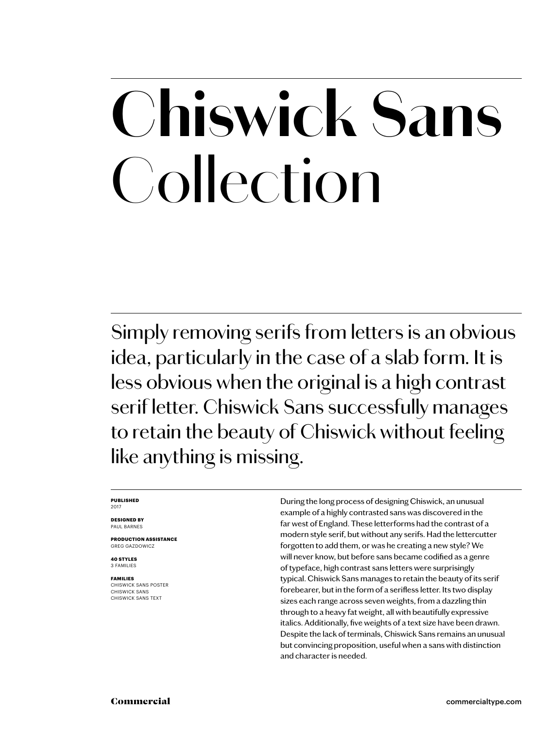## **Chiswick Sans** Collection

Simply removing serifs from letters is an obvious idea, particularly in the case of a slab form. It is less obvious when the original is a high contrast serif letter. Chiswick Sans successfully manages to retain the beauty of Chiswick without feeling like anything is missing.

### **PUBLISHED** 2017

**DESIGNED BY** PAUL BARNES

**PRODUCTION ASSISTANCE** GREG GAZDOWICZ

**40 STYLES** 3 FAMILIES

**FAMILIES** CHISWICK SANS POSTER CHISWICK SANS CHISWICK SANS TEXT

During the long process of designing Chiswick, an unusual example of a highly contrasted sans was discovered in the far west of England. These letterforms had the contrast of a modern style serif, but without any serifs. Had the lettercutter forgotten to add them, or was he creating a new style? We will never know, but before sans became codified as a genre of typeface, high contrast sans letters were surprisingly typical. Chiswick Sans manages to retain the beauty of its serif forebearer, but in the form of a serifless letter. Its two display sizes each range across seven weights, from a dazzling thin through to a heavy fat weight, all with beautifully expressive italics. Additionally, five weights of a text size have been drawn. Despite the lack of terminals, Chiswick Sans remains an unusual but convincing proposition, useful when a sans with distinction and character is needed.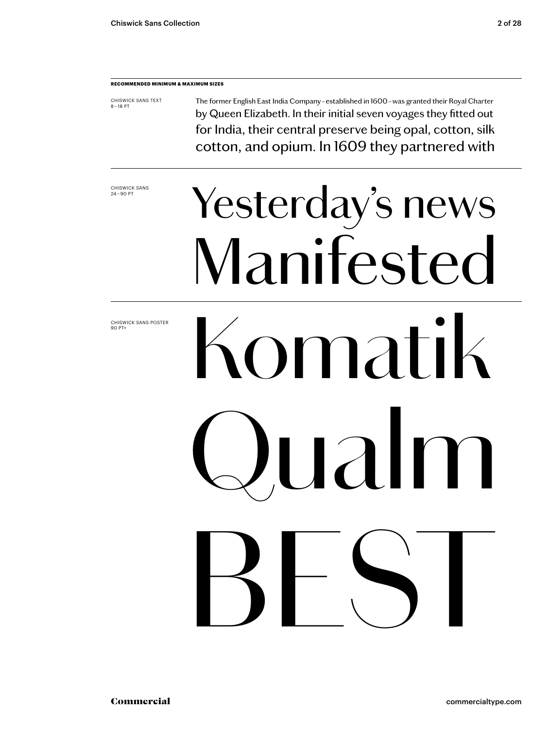### **RECOMMENDED MINIMUM & MAXIMUM SIZES**

CHISWICK SANS TEXT 8 – 18 PT The former English East India Company – established in 1600 – was granted their Royal Charter by Queen Elizabeth. In their initial seven voyages they fitted out for India, their central preserve being opal, cotton, silk cotton, and opium. In 1609 they partnered with

CHISWICK SANS<br>24-90 PT

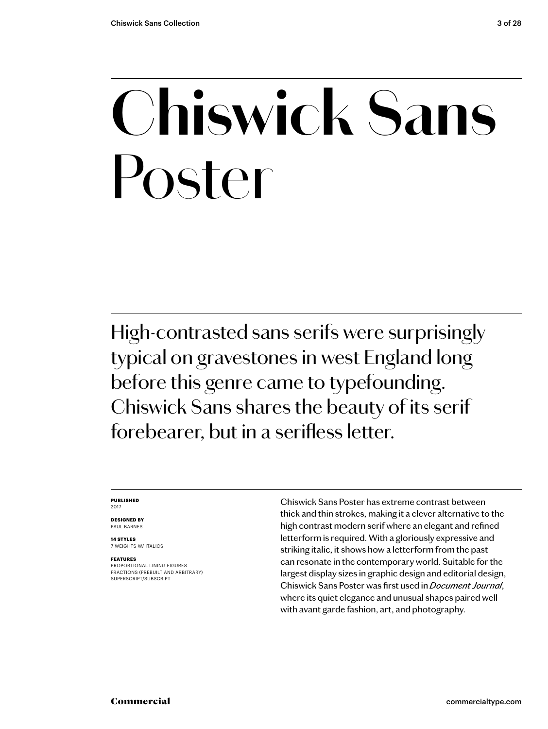### **Chiswick Sans** Poster

High-contrasted sans serifs were surprisingly typical on gravestones in west England long before this genre came to typefounding. Chiswick Sans shares the beauty of its serif forebearer, but in a serifless letter.

### **PUBLISHED** 2017

**DESIGNED BY** PAUL BARNES

**14 STYLES** 7 WEIGHTS W/ ITALICS

### **FEATURES**

PROPORTIONAL LINING FIGURES FRACTIONS (PREBUILT AND ARBITRARY) SUPERSCRIPT/SUBSCRIPT

Chiswick Sans Poster has extreme contrast between thick and thin strokes, making it a clever alternative to the high contrast modern serif where an elegant and refined letterform is required. With a gloriously expressive and striking italic, it shows how a letterform from the past can resonate in the contemporary world. Suitable for the largest display sizes in graphic design and editorial design, Chiswick Sans Poster was first used in *Document Journal*, where its quiet elegance and unusual shapes paired well with avant garde fashion, art, and photography.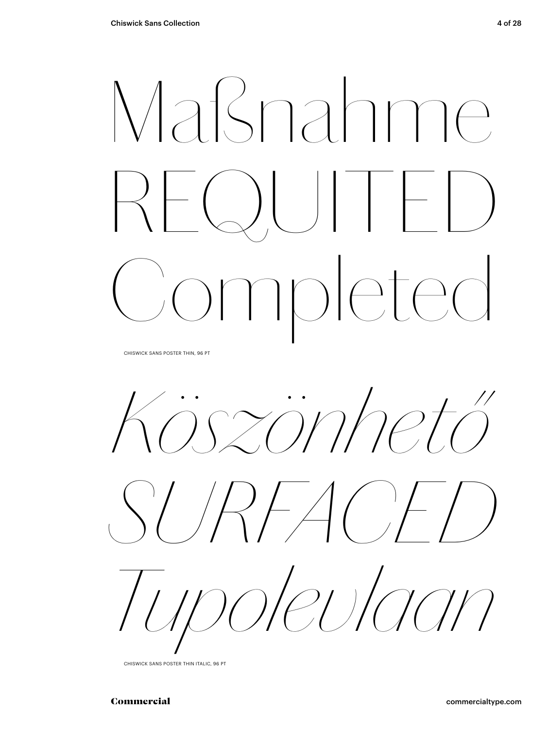# Maßnahme REQUITED Completed

CHISWICK SANS POSTER THIN, 96 PT

*Köszönhető* 





CHISWICK SANS POSTER THIN ITALIC, 96 PT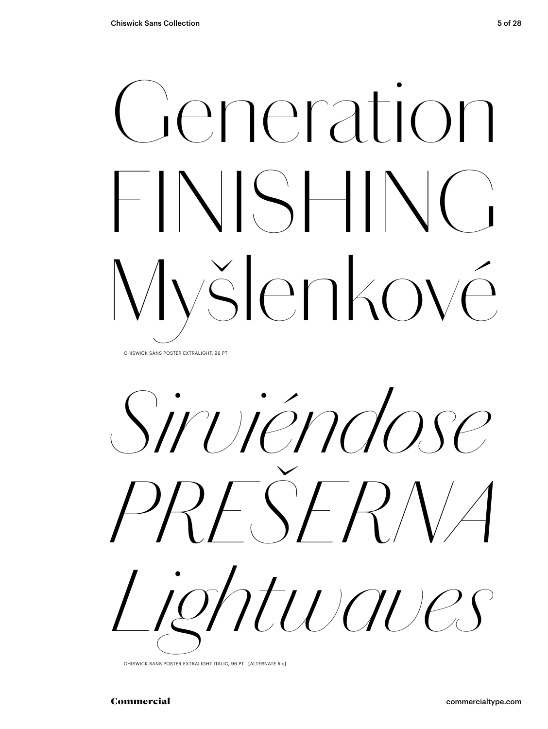## Generation FINISHING Myšlenkové CHISWICK SANS POSTER EXTRALIGHT, 96 PT

*Sirviéndose PREŠERNA Lightwaves*

CHISWICK SANS POSTER EXTRALIGHT ITALIC, 96 PT [ALTERNATE R s]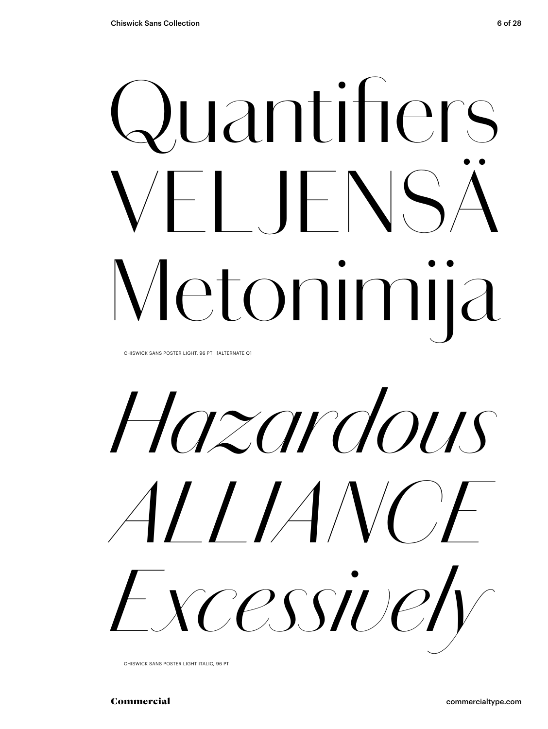# Quantifiers VELJENSÄ Metonimija

CHISWICK SANS POSTER LIGHT, 96 PT [ALTERNATE Q]

*Hazardous ALLIANCE Excessively*

CHISWICK SANS POSTER LIGHT ITALIC, 96 PT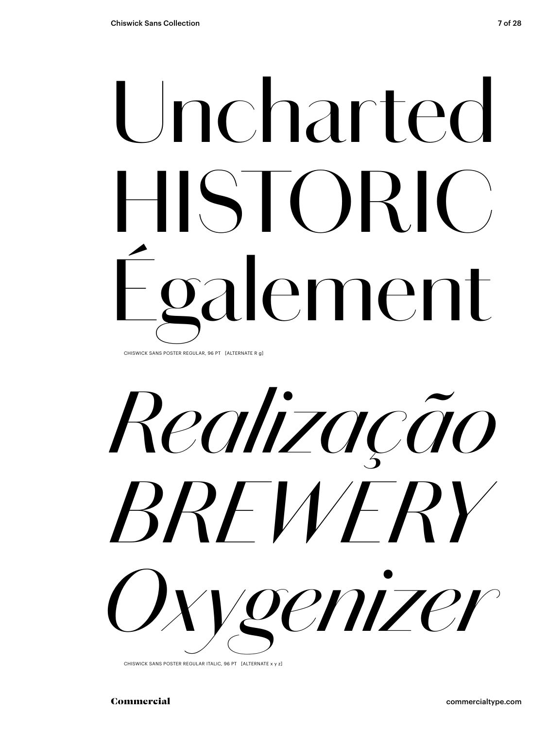## Uncharted HISTORIC) galement CHISWICK SANS POSTER REGULAR, 96 PT [ALTERNATE R g]

*Realização BREWERY Oxygenizer*

CHISWICK SANS POSTER REGULAR ITALIC, 96 PT [ALTERNATE x y z]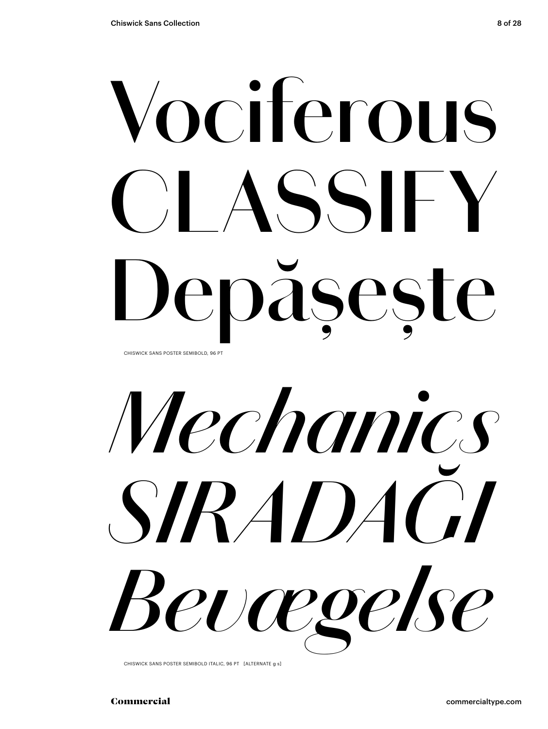## **Vociferous CLASSIFY Depășește** CHISWICK SANS POSTER SEMIBOLD, 96 PT

*Mechanics SIRADAĞI Bevægelse*

CHISWICK SANS POSTER SEMIBOLD ITALIC, 96 PT [ALTERNATE g s]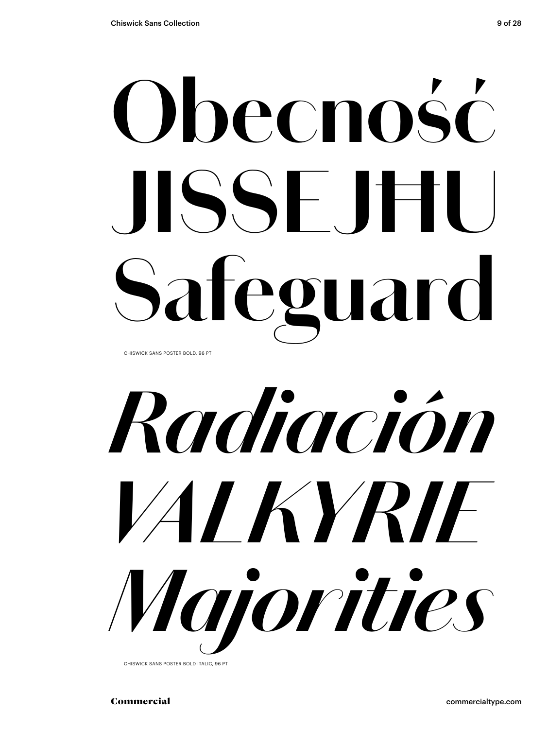## **Obecność JISSEJĦU Safeguard** CHISWICK SANS POSTER BOLD, 96 PT



CHISWICK SANS POSTER BOLD ITALIC, 96 PT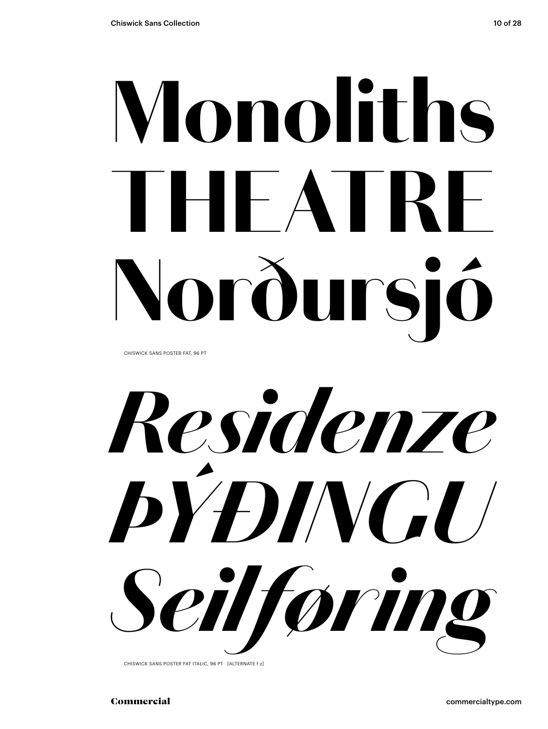# Monoliths THEATRE Norðursió

CHISWICK SANS POSTER FAT, 96 PT

*Residenze ÞÝÐINGU Seilføring*

CHISWICK SANS POSTER FAT ITALIC, 96 PT [ALTERNATE f z]

Commercial commercialtype.com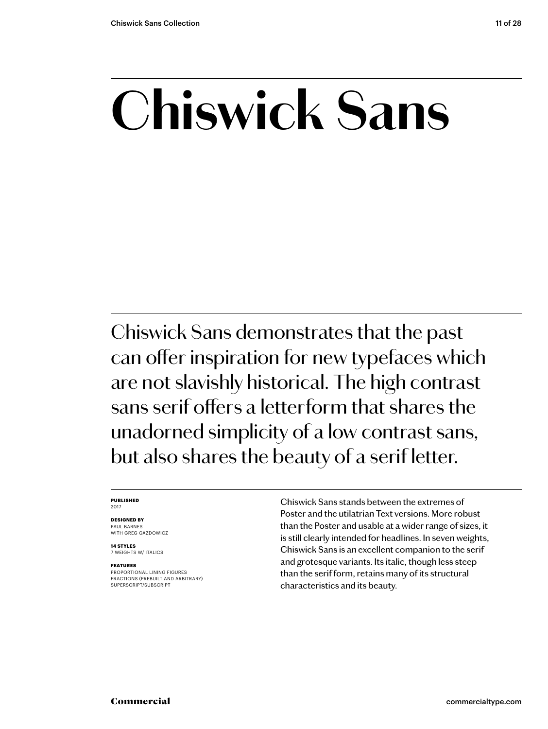### **Chiswick Sans**

Chiswick Sans demonstrates that the past can offer inspiration for new typefaces which are not slavishly historical. The high contrast sans serif offers a letterform that shares the unadorned simplicity of a low contrast sans, but also shares the beauty of a serif letter.

### **PUBLISHED** 2017

### **DESIGNED BY** PAUL BARNES

WITH GREG GAZDOWICZ

**14 STYLES** 7 WEIGHTS W/ ITALICS

### **FEATURES**

PROPORTIONAL LINING FIGURES FRACTIONS (PREBUILT AND ARBITRARY) SUPERSCRIPT/SUBSCRIPT

Chiswick Sans stands between the extremes of Poster and the utilatrian Text versions. More robust than the Poster and usable at a wider range of sizes, it is still clearly intended for headlines. In seven weights, Chiswick Sans is an excellent companion to the serif and grotesque variants. Its italic, though less steep than the serif form, retains many of its structural characteristics and its beauty.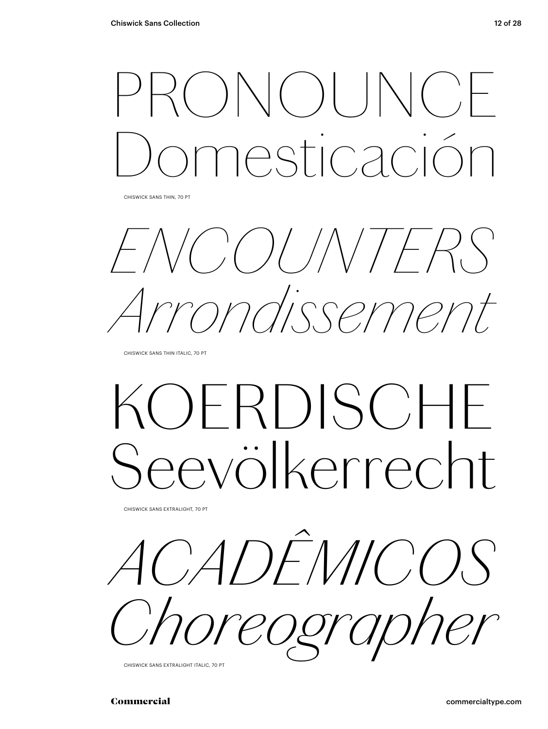### PRONOUNCE Domesticación

CHISWICK SANS THIN, 70 PT

*ENCOUNTERS Arrondissement*

CHISWICK SANS THIN ITALIC, 70 PT

### *KOERDISCHE Seevölkerrecht*

CHISWICK SANS EXTRALIGHT, 70 PT

*ACADÊMICOS Choreographer*

CHISWICK SANS EXTRALIGHT ITALIC, 70 PT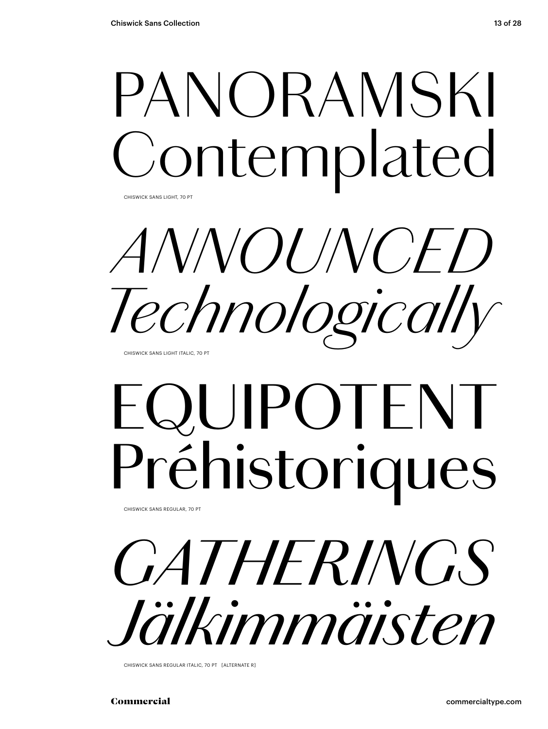### PANORAMSKI ontemplated

CHISWICK SANS LIGHT, 70 PT

*ANNOUNCED Technologically* CHISWICK SANS LIGHT ITALIC, 70 PT

### EQUIPOTENT Préhistoriques

CHISWICK SANS REGULAR, 70 PT

*GATHERINGS Jälkimmäisten*

CHISWICK SANS REGULAR ITALIC, 70 PT [ALTERNATE R]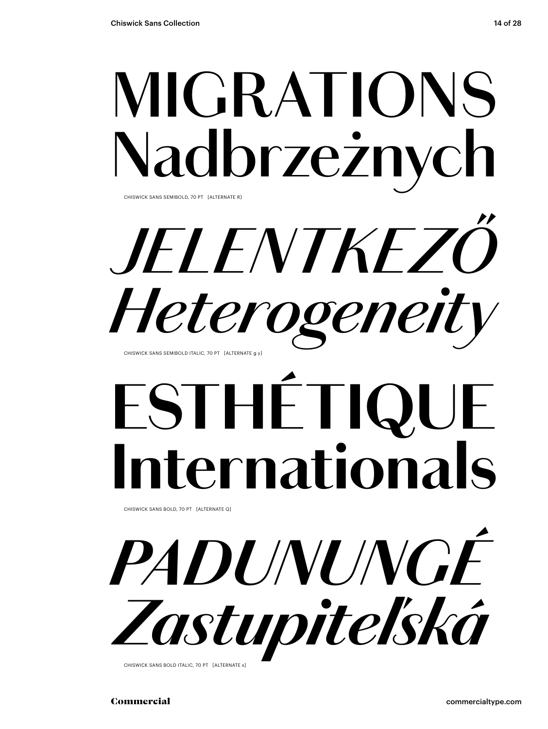### **MIGRATIONS** Nadbrzeżnych CHISWICK SANS SEMIBOLD, 70 PT [ALTERNATE R]

*JELENTKEZŐ Heterogeneit* CHISWICK SANS SEMIBOLD ITALIC, 70 PT [ALTERNATE g y]

### **ESTHÉTI Iernationals**

CHISWICK SANS BOLD, 70 PT [ALTERNATE Q]

*PADUNUNGÉ Zastupiteľská*

CHISWICK SANS BOLD ITALIC, 70 PT [ALTERNATE s]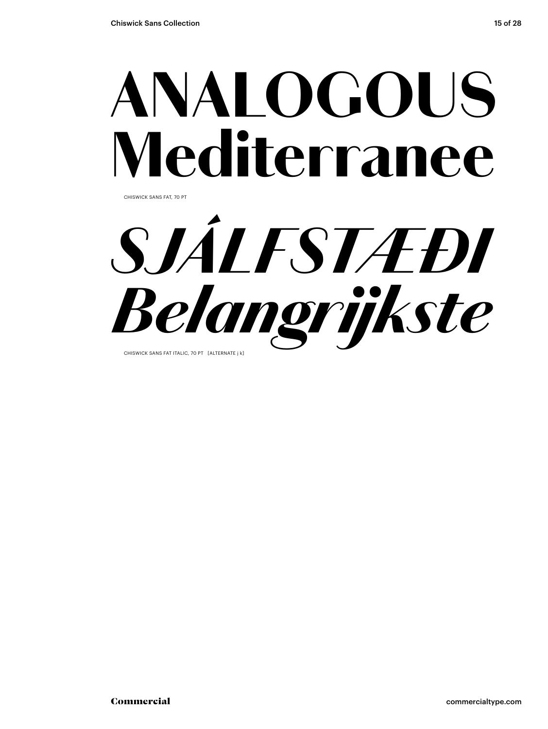### ANALOGOUS Mediterranee

CHISWICK SANS FAT, 70 PT

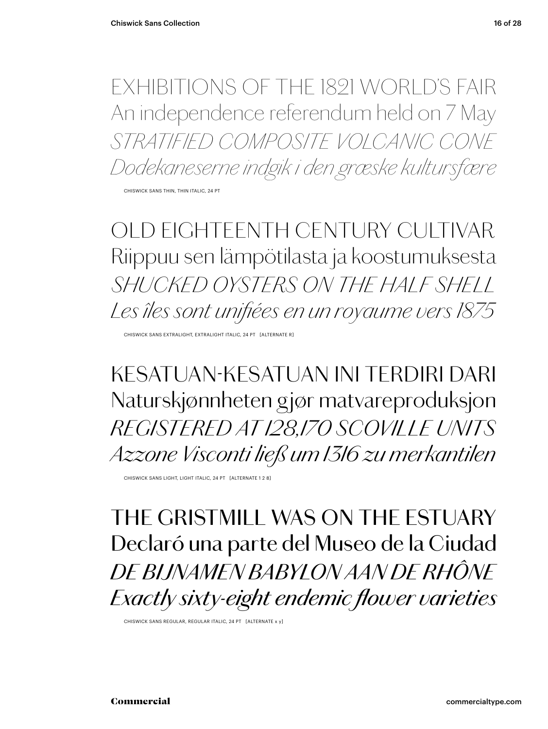EXHIBITIONS OF THE 1821 WORLD'S FAIR An independence referendum held on 7 May *STRATIFIED COMPOSITE VOLCANIC CONE Dodekaneserne indgik i den græske kultursfære*

CHISWICK SANS THIN, THIN ITALIC, 24 PT

*OLD EIGHTEENTH CENTURY CULTIVAR Riippuu sen lämpötilasta ja koostumuksesta SHUCKED OYSTERS ON THE HALF SHELL Les îles sont unifiées en un royaume vers 1875*

CHISWICK SANS EXTRALIGHT, EXTRALIGHT ITALIC, 24 PT [ALTERNATE R]

KESATUAN-KESATUAN INI TERDIRI DARI Naturskjønnheten gjør matvareproduksjon *REGISTERED AT 128,170 SCOVILLE UNITS Azzone Visconti ließ um 1316 zu merkantilen*

CHISWICK SANS LIGHT, LIGHT ITALIC, 24 PT [ALTERNATE 1 2 8]

THE GRISTMILL WAS ON THE ESTUARY Declaró una parte del Museo de la Ciudad *DE BIJNAMEN BABYLON AAN DE RHÔNE Exactly sixty-eight endemic flower varieties*

CHISWICK SANS REGULAR, REGULAR ITALIC, 24 PT [ALTERNATE x y]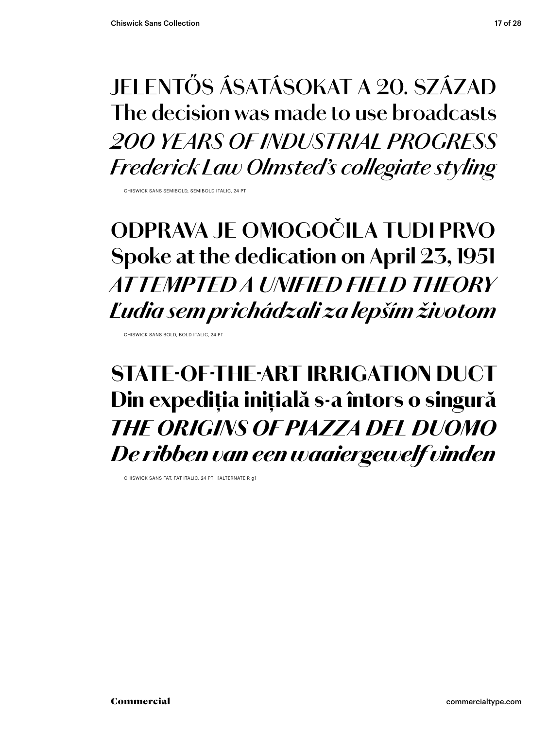### **JELENTŐS ÁSATÁSOKAT A 20. SZÁZAD The decision was made to use broadcasts** *200 YEARS OF INDUSTRIAL PROGRESS Frederick Law Olmsted's collegiate styling*

CHISWICK SANS SEMIBOLD, SEMIBOLD ITALIC, 24 PT

### **ODPRAVA JE OMOGOČILA TUDI PRVO Spoke at the dedication on April 23, 1951** *AT TEMPTED A UNIFIED FIELD THEORY Ľudia sem prichádzali za lepším životom*

CHISWICK SANS BOLD, BOLD ITALIC, 24 PT

### STATE-OF-THE-ART IRRIGATION DUCT Din expediția inițială s-a întors o singură *THE ORIGINS OF PIAZZA DEL DUOMO De ribben van een waaiergewelf vinden*

CHISWICK SANS FAT, FAT ITALIC, 24 PT [ALTERNATE R g]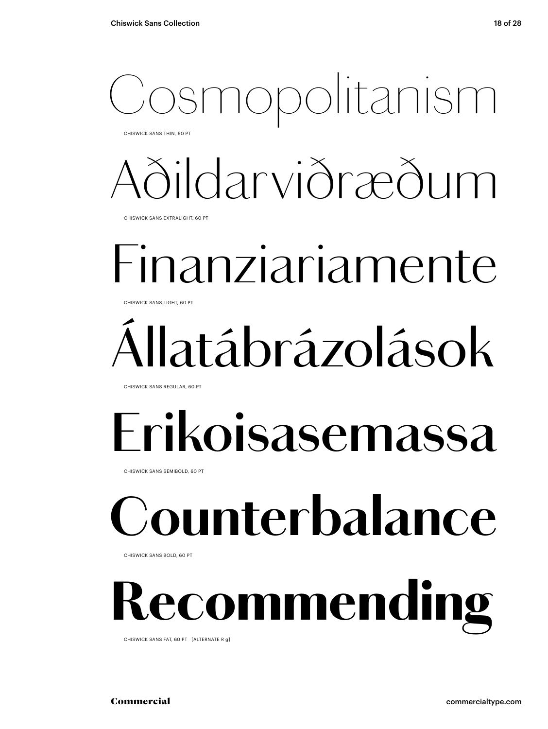### Cosmopolitanism

CHISWICK SANS THIN, 60 PT

### *Aðildarviðræðum*

CHISWICK SANS EXTRALIGHT, 60 PT

### Finanziariamente

CHISWICK SANS LIGHT, 60 PT

### Állatábrázolások

CHISWICK SANS REGULAR, 60 PT

### **Erikoisasemassa**

CHISWICK SANS SEMIBOLD, 60 PT

### **Counterbalance**

CHISWICK SANS BOLD, 60 PT

### *<u>ecommending</u>*

CHISWICK SANS FAT, 60 PT [ALTERNATE R g]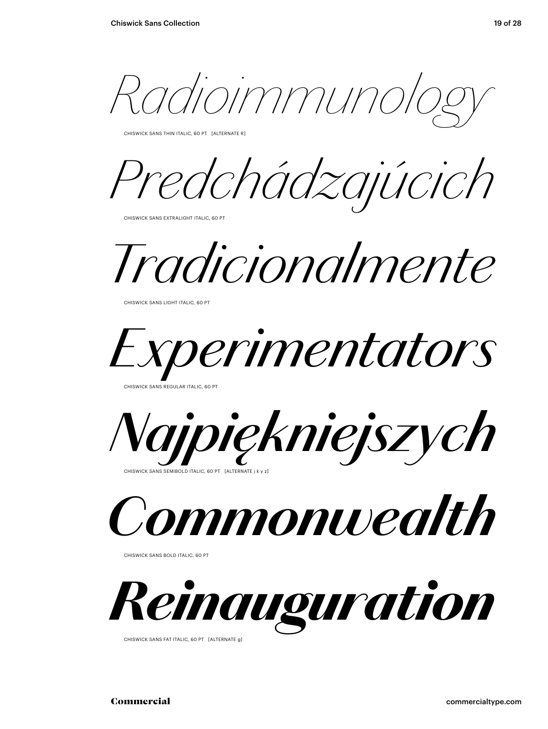*Radioimmunology*

CHISWICK SANS THIN ITALIC, 60 PT [ALTERNATE R]

*Predchádzajúcich*

CHISWICK SANS EXTRALIGHT ITALIC, 60 PT

*Tradicionalmente*

CHISWICK SANS LIGHT ITALIC, 60 PT



CHISWICK SANS REGULAR ITALIC, 60 PT



CHISWICK SANS SEMIBOLD ITALIC, 60 PT [ALTERNATE ]



CHISWICK SANS BOLD ITALIC, 60 PT



CHISWICK SANS FAT ITALIC, 60 PT [ALTERNATE g]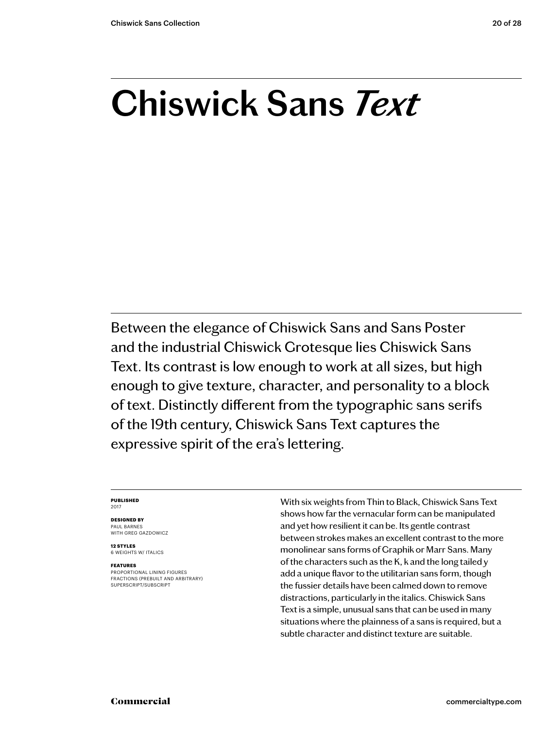### **Chiswick Sans** *Text*

Between the elegance of Chiswick Sans and Sans Poster and the industrial Chiswick Grotesque lies Chiswick Sans Text. Its contrast is low enough to work at all sizes, but high enough to give texture, character, and personality to a block of text. Distinctly different from the typographic sans serifs of the 19th century, Chiswick Sans Text captures the expressive spirit of the era's lettering.

### **PUBLISHED** 2017

### **DESIGNED BY** PAUL BARNES

WITH GREG GAZDOWICZ

**12 STYLES** 6 WEIGHTS W/ ITALICS

### **FEATURES**

PROPORTIONAL LINING FIGURES FRACTIONS (PREBUILT AND ARBITRARY) SUPERSCRIPT/SUBSCRIPT

With six weights from Thin to Black, Chiswick Sans Text shows how far the vernacular form can be manipulated and yet how resilient it can be. Its gentle contrast between strokes makes an excellent contrast to the more monolinear sans forms of Graphik or Marr Sans. Many of the characters such as the K, k and the long tailed y add a unique flavor to the utilitarian sans form, though the fussier details have been calmed down to remove distractions, particularly in the italics. Chiswick Sans Text is a simple, unusual sans that can be used in many situations where the plainness of a sans is required, but a subtle character and distinct texture are suitable.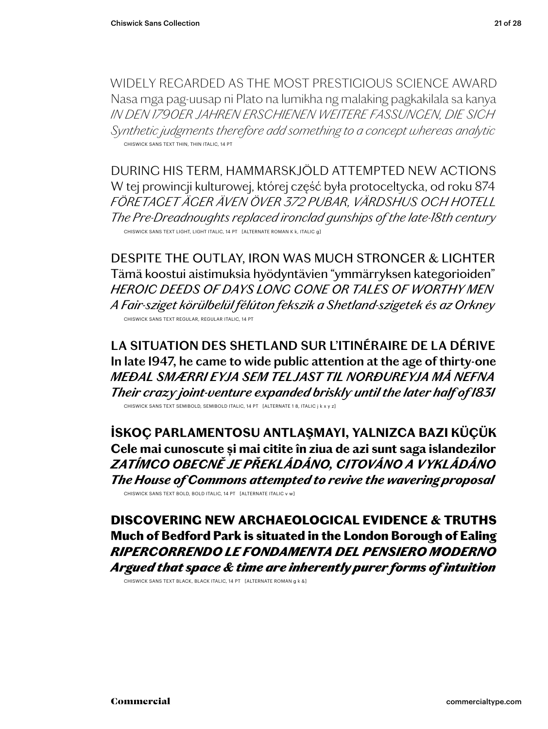WIDELY REGARDED AS THE MOST PRESTIGIOUS SCIENCE AWARD Nasa mga pag-uusap ni Plato na lumikha ng malaking pagkakilala sa kanya *IN DEN 1790ER JAHREN ERSCHIENEN WEITERE FASSUNGEN, DIE SICH Synthetic judgments therefore add something to a concept whereas analytic* CHISWICK SANS TEXT THIN, THIN ITALIC, 14 PT

DURING HIS TERM, HAMMARSKJÖLD ATTEMPTED NEW ACTIONS W tej prowincji kulturowej, której część była protoceltycka, od roku 874 *FÖRETAGET ÄGER ÄVEN ÖVER 372 PUBAR, VÄRDSHUS OCH HOTELL The Pre-Dreadnoughts replaced ironclad gunships of the late-18th century* CHISWICK SANS TEXT LIGHT, LIGHT ITALIC, 14 PT [ALTERNATE ROMAN K k, ITALIC g]

DESPITE THE OUTLAY, IRON WAS MUCH STRONGER & LIGHTER Tämä koostui aistimuksia hyödyntävien "ymmärryksen kategorioiden" *HEROIC DEEDS OF DAYS LONG GONE OR TALES OF WORTHY MEN A Fair-sziget körülbelül félúton fekszik a Shetland-szigetek és az Orkney* CHISWICK SANS TEXT REGULAR, REGULAR ITALIC, 14 PT

**LA SITUATION DES SHETLAND SUR L'ITINÉRAIRE DE LA DÉRIVE In late 1947, he came to wide public attention at the age of thirty-one** *MEÐAL SMÆRRI EYJA SEM TELJAST TIL NORÐUREYJA MÁ NEFNA Their crazy joint-venture expanded briskly until the later half of 1831* CHISWICK SANS TEXT SEMIBOLD, SEMIBOLD ITALIC, 14 PT [ALTERNATE 1 8, ITALIC j k x y z]

**İSKOÇ PARLAMENTOSU ANTLAŞMAYI, YALNIZCA BAZI KÜÇÜK Cele mai cunoscute și mai citite în ziua de azi sunt saga islandezilor** *ZATÍMCO OBECNĚ JE PŘEKLÁDÁNO, CITOVÁNO A VYKLÁDÁNO The House of Commons attempted to revive the wavering proposal* CHISWICK SANS TEXT BOLD, BOLD ITALIC, 14 PT [ALTERNATE ITALIC v w]

DISCOVERING NEW ARCHAEOLOGICAL EVIDENCE & TRUTHS Much of Bedford Park is situated in the London Borough of Ealing *RIPERCORRENDO LE FONDAMENTA DEL PENSIERO MODERNO Argued that space & time are inherently purer forms of intuition*

CHISWICK SANS TEXT BLACK, BLACK ITALIC, 14 PT [ALTERNATE ROMAN g k &]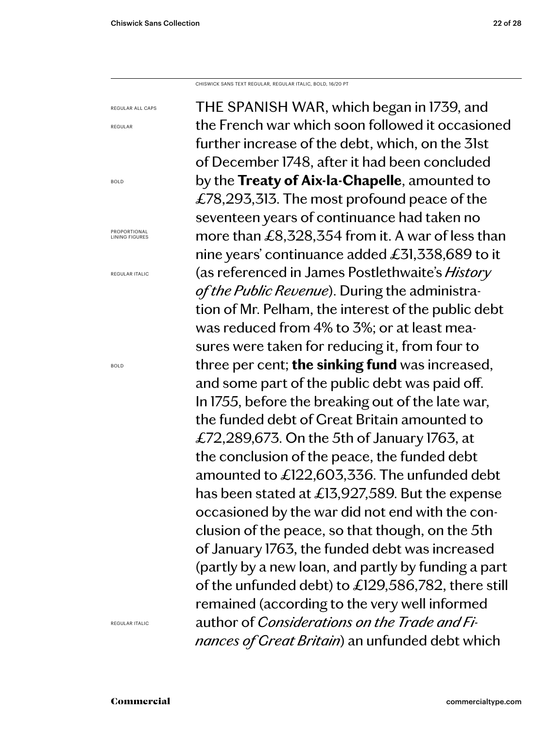REGULAR ALL CAPS

REGULAR

BOLD

PROPORTIONAL LINING FIGURES

REGULAR ITALIC

BOLD

CHISWICK SANS TEXT REGULAR, REGULAR ITALIC, BOLD, 16/20 PT

THE SPANISH WAR, which began in 1739, and the French war which soon followed it occasioned further increase of the debt, which, on the 31st of December 1748, after it had been concluded by the **Treaty of Aix-la-Chapelle**, amounted to £78,293,313. The most profound peace of the seventeen years of continuance had taken no more than £8,328,354 from it. A war of less than nine years' continuance added £31,338,689 to it (as referenced in James Postlethwaite's *History of the Public Revenue*). During the administration of Mr. Pelham, the interest of the public debt was reduced from 4% to 3%; or at least measures were taken for reducing it, from four to three per cent; **the sinking fund** was increased, and some part of the public debt was paid off. In 1755, before the breaking out of the late war, the funded debt of Great Britain amounted to £72,289,673. On the 5th of January 1763, at the conclusion of the peace, the funded debt amounted to £122,603,336. The unfunded debt has been stated at £13,927,589. But the expense occasioned by the war did not end with the conclusion of the peace, so that though, on the 5th of January 1763, the funded debt was increased (partly by a new loan, and partly by funding a part of the unfunded debt) to £129,586,782, there still remained (according to the very well informed author of *Considerations on the Trade and Finances of Great Britain*) an unfunded debt which

REGULAR ITALIC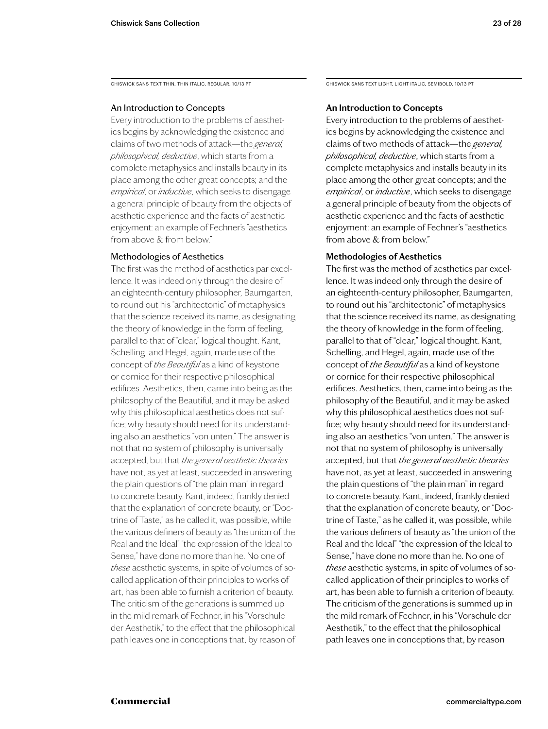CHISWICK SANS TEXT THIN, THIN ITALIC, REGULAR, 10/13 PT

### An Introduction to Concepts

Every introduction to the problems of aesthetics begins by acknowledging the existence and claims of two methods of attack—the *general, philosophical, deductive*, which starts from a complete metaphysics and installs beauty in its place among the other great concepts; and the *empirical*, or *inductive*, which seeks to disengage a general principle of beauty from the objects of aesthetic experience and the facts of aesthetic enjoyment: an example of Fechner's "aesthetics from above & from below."

### Methodologies of Aesthetics

The first was the method of aesthetics par excellence. It was indeed only through the desire of an eighteenth-century philosopher, Baumgarten, to round out his "architectonic" of metaphysics that the science received its name, as designating the theory of knowledge in the form of feeling, parallel to that of "clear," logical thought. Kant, Schelling, and Hegel, again, made use of the concept of *the Beautiful* as a kind of keystone or cornice for their respective philosophical edifices. Aesthetics, then, came into being as the philosophy of the Beautiful, and it may be asked why this philosophical aesthetics does not suffice; why beauty should need for its understanding also an aesthetics "von unten." The answer is not that no system of philosophy is universally accepted, but that *the general aesthetic theories*  have not, as yet at least, succeeded in answering the plain questions of "the plain man" in regard to concrete beauty. Kant, indeed, frankly denied that the explanation of concrete beauty, or "Doctrine of Taste," as he called it, was possible, while the various definers of beauty as "the union of the Real and the Ideal" "the expression of the Ideal to Sense," have done no more than he. No one of *these* aesthetic systems, in spite of volumes of socalled application of their principles to works of art, has been able to furnish a criterion of beauty. The criticism of the generations is summed up in the mild remark of Fechner, in his "Vorschule der Aesthetik," to the effect that the philosophical path leaves one in conceptions that, by reason of

CHISWICK SANS TEXT LIGHT, LIGHT ITALIC, SEMIBOLD, 10/13 PT

### **An Introduction to Concepts**

Every introduction to the problems of aesthetics begins by acknowledging the existence and claims of two methods of attack—the *general, philosophical, deductive*, which starts from a complete metaphysics and installs beauty in its place among the other great concepts; and the *empirical*, or *inductive*, which seeks to disengage a general principle of beauty from the objects of aesthetic experience and the facts of aesthetic enjoyment: an example of Fechner's "aesthetics from above & from below."

### **Methodologies of Aesthetics**

The first was the method of aesthetics par excellence. It was indeed only through the desire of an eighteenth-century philosopher, Baumgarten, to round out his "architectonic" of metaphysics that the science received its name, as designating the theory of knowledge in the form of feeling, parallel to that of "clear," logical thought. Kant, Schelling, and Hegel, again, made use of the concept of *the Beautiful* as a kind of keystone or cornice for their respective philosophical edifices. Aesthetics, then, came into being as the philosophy of the Beautiful, and it may be asked why this philosophical aesthetics does not suffice; why beauty should need for its understanding also an aesthetics "von unten." The answer is not that no system of philosophy is universally accepted, but that *the general aesthetic theories*  have not, as yet at least, succeeded in answering the plain questions of "the plain man" in regard to concrete beauty. Kant, indeed, frankly denied that the explanation of concrete beauty, or "Doctrine of Taste," as he called it, was possible, while the various definers of beauty as "the union of the Real and the Ideal" "the expression of the Ideal to Sense," have done no more than he. No one of *these* aesthetic systems, in spite of volumes of socalled application of their principles to works of art, has been able to furnish a criterion of beauty. The criticism of the generations is summed up in the mild remark of Fechner, in his "Vorschule der Aesthetik," to the effect that the philosophical path leaves one in conceptions that, by reason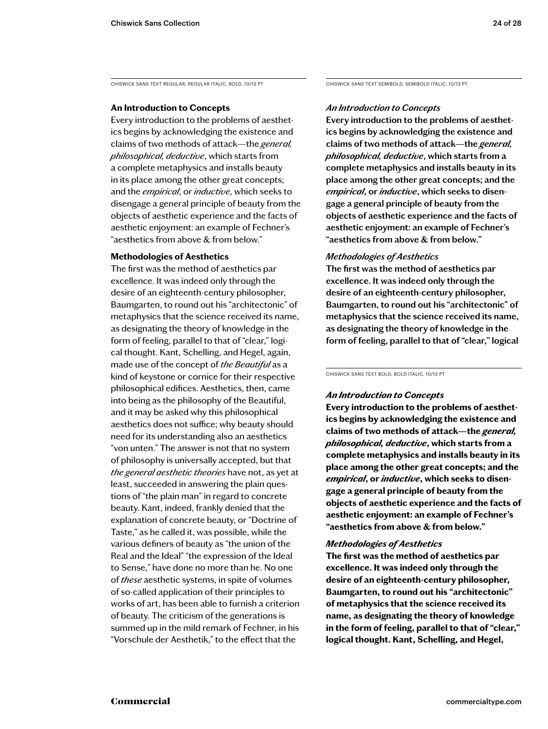CHISWICK SANS TEXT REGULAR, REGULAR ITALIC, BOLD, 10/13 PT

### **An Introduction to Concepts**

Every introduction to the problems of aesthetics begins by acknowledging the existence and claims of two methods of attack—the *general, philosophical, deductive*, which starts from a complete metaphysics and installs beauty in its place among the other great concepts; and the *empirical*, or *inductive*, which seeks to disengage a general principle of beauty from the objects of aesthetic experience and the facts of aesthetic enjoyment: an example of Fechner's "aesthetics from above & from below."

### **Methodologies of Aesthetics**

The first was the method of aesthetics par excellence. It was indeed only through the desire of an eighteenth-century philosopher, Baumgarten, to round out his "architectonic" of metaphysics that the science received its name, as designating the theory of knowledge in the form of feeling, parallel to that of "clear," logical thought. Kant, Schelling, and Hegel, again, made use of the concept of *the Beautiful* as a kind of keystone or cornice for their respective philosophical edifices. Aesthetics, then, came into being as the philosophy of the Beautiful, and it may be asked why this philosophical aesthetics does not suffice; why beauty should need for its understanding also an aesthetics "von unten." The answer is not that no system of philosophy is universally accepted, but that *the general aesthetic theories* have not, as yet at least, succeeded in answering the plain questions of "the plain man" in regard to concrete beauty. Kant, indeed, frankly denied that the explanation of concrete beauty, or "Doctrine of Taste," as he called it, was possible, while the various definers of beauty as "the union of the Real and the Ideal" "the expression of the Ideal to Sense," have done no more than he. No one of *these* aesthetic systems, in spite of volumes of so-called application of their principles to works of art, has been able to furnish a criterion of beauty. The criticism of the generations is summed up in the mild remark of Fechner, in his "Vorschule der Aesthetik," to the effect that the

CHISWICK SANS TEXT SEMIBOLD, SEMIBOLD ITALIC, 10/13 PT

### *An Introduction to Concepts*

**Every introduction to the problems of aesthetics begins by acknowledging the existence and claims of two methods of attack—the** *general, philosophical, deductive***, which starts from a complete metaphysics and installs beauty in its place among the other great concepts; and the**  *empirical***, or** *inductive***, which seeks to disengage a general principle of beauty from the objects of aesthetic experience and the facts of aesthetic enjoyment: an example of Fechner's "aesthetics from above & from below."** 

### *Methodologies of Aesthetics*

**The first was the method of aesthetics par excellence. It was indeed only through the desire of an eighteenth-century philosopher, Baumgarten, to round out his "architectonic" of metaphysics that the science received its name, as designating the theory of knowledge in the form of feeling, parallel to that of "clear," logical** 

CHISWICK SANS TEXT BOLD, BOLD ITALIC, 10/13 PT

### *An Introduction to Concepts*

**Every introduction to the problems of aesthetics begins by acknowledging the existence and claims of two methods of attack—the** *general, philosophical, deductive***, which starts from a complete metaphysics and installs beauty in its place among the other great concepts; and the**  *empirical***, or** *inductive***, which seeks to disengage a general principle of beauty from the objects of aesthetic experience and the facts of aesthetic enjoyment: an example of Fechner's "aesthetics from above & from below."** 

### *Methodologies of Aesthetics*

**The first was the method of aesthetics par excellence. It was indeed only through the desire of an eighteenth-century philosopher, Baumgarten, to round out his "architectonic" of metaphysics that the science received its name, as designating the theory of knowledge in the form of feeling, parallel to that of "clear," logical thought. Kant, Schelling, and Hegel,**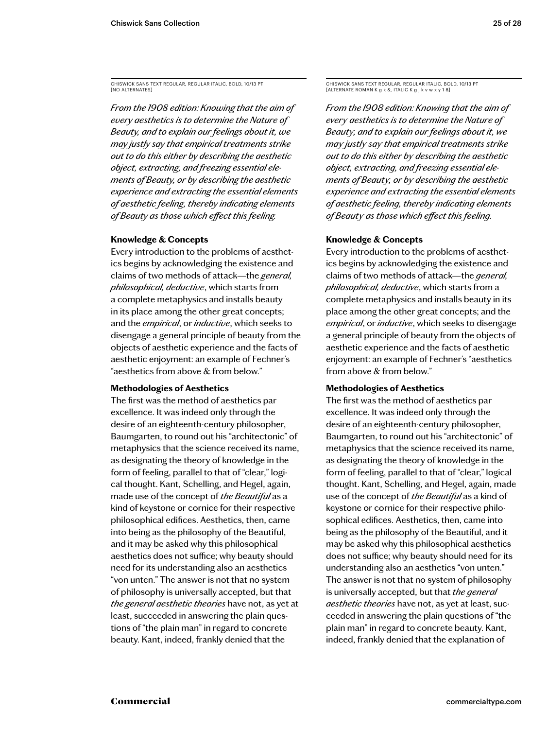CHISWICK SANS TEXT REGULAR, REGULAR ITALIC, BOLD, 10/13 PT [NO ALTERNATES]

*From the 1908 edition: Knowing that the aim of every aesthetics is to determine the Nature of Beauty, and to explain our feelings about it, we may justly say that empirical treatments strike out to do this either by describing the aesthetic object, extracting, and freezing essential elements of Beauty, or by describing the aesthetic experience and extracting the essential elements of aesthetic feeling, thereby indicating elements of Beauty as those which effect this feeling.*

### **Knowledge & Concepts**

Every introduction to the problems of aesthetics begins by acknowledging the existence and claims of two methods of attack—the *general, philosophical, deductive*, which starts from a complete metaphysics and installs beauty in its place among the other great concepts; and the *empirical*, or *inductive*, which seeks to disengage a general principle of beauty from the objects of aesthetic experience and the facts of aesthetic enjoyment: an example of Fechner's "aesthetics from above & from below."

### **Methodologies of Aesthetics**

The first was the method of aesthetics par excellence. It was indeed only through the desire of an eighteenth-century philosopher, Baumgarten, to round out his "architectonic" of metaphysics that the science received its name, as designating the theory of knowledge in the form of feeling, parallel to that of "clear," logical thought. Kant, Schelling, and Hegel, again, made use of the concept of *the Beautiful* as a kind of keystone or cornice for their respective philosophical edifices. Aesthetics, then, came into being as the philosophy of the Beautiful, and it may be asked why this philosophical aesthetics does not suffice; why beauty should need for its understanding also an aesthetics "von unten." The answer is not that no system of philosophy is universally accepted, but that *the general aesthetic theories* have not, as yet at least, succeeded in answering the plain questions of "the plain man" in regard to concrete beauty. Kant, indeed, frankly denied that the

CHISWICK SANS TEXT REGULAR, REGULAR ITALIC, BOLD, 10/13 PT [ALTERNATE ROMAN K g k &, ITALIC K g j k v w x y 1 8]

*From the 1908 edition: Knowing that the aim of every aesthetics is to determine the Nature of Beauty, and to explain our feelings about it, we may justly say that empirical treatments strike out to do this either by describing the aesthetic object, extracting, and freezing essential elements of Beauty, or by describing the aesthetic experience and extracting the essential elements of aesthetic feeling, thereby indicating elements of Beauty as those which effect this feeling.*

### **Knowledge & Concepts**

Every introduction to the problems of aesthetics begins by acknowledging the existence and claims of two methods of attack—the *general, philosophical, deductive*, which starts from a complete metaphysics and installs beauty in its place among the other great concepts; and the *empirical*, or *inductive*, which seeks to disengage a general principle of beauty from the objects of aesthetic experience and the facts of aesthetic enjoyment: an example of Fechner's "aesthetics from above & from below."

### **Methodologies of Aesthetics**

The first was the method of aesthetics par excellence. It was indeed only through the desire of an eighteenth-century philosopher, Baumgarten, to round out his "architectonic" of metaphysics that the science received its name, as designating the theory of knowledge in the form of feeling, parallel to that of "clear," logical thought. Kant, Schelling, and Hegel, again, made use of the concept of *the Beautiful* as a kind of keystone or cornice for their respective philosophical edifices. Aesthetics, then, came into being as the philosophy of the Beautiful, and it may be asked why this philosophical aesthetics does not suffice; why beauty should need for its understanding also an aesthetics "von unten." The answer is not that no system of philosophy is universally accepted, but that *the general aesthetic theories* have not, as yet at least, succeeded in answering the plain questions of "the plain man" in regard to concrete beauty. Kant, indeed, frankly denied that the explanation of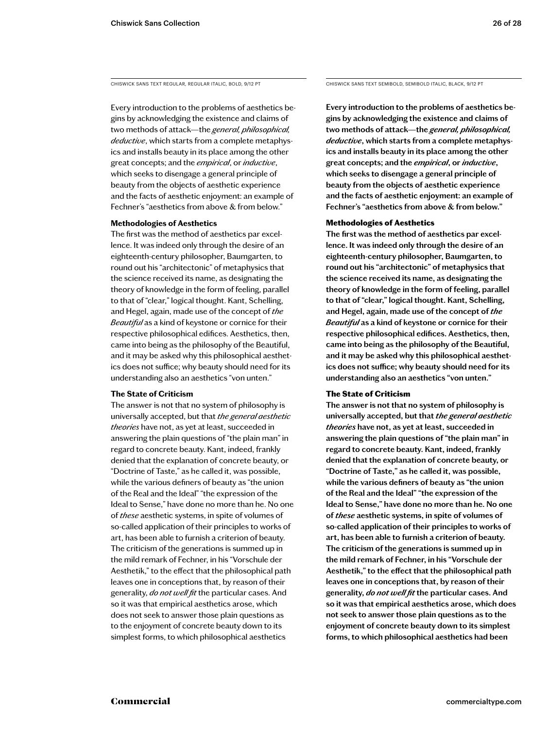Every introduction to the problems of aesthetics begins by acknowledging the existence and claims of two methods of attack—the *general, philosophical, deductive*, which starts from a complete metaphysics and installs beauty in its place among the other great concepts; and the *empirical*, or *inductive*, which seeks to disengage a general principle of beauty from the objects of aesthetic experience and the facts of aesthetic enjoyment: an example of Fechner's "aesthetics from above & from below."

### **Methodologies of Aesthetics**

The first was the method of aesthetics par excellence. It was indeed only through the desire of an eighteenth-century philosopher, Baumgarten, to round out his "architectonic" of metaphysics that the science received its name, as designating the theory of knowledge in the form of feeling, parallel to that of "clear," logical thought. Kant, Schelling, and Hegel, again, made use of the concept of *the Beautiful* as a kind of keystone or cornice for their respective philosophical edifices. Aesthetics, then, came into being as the philosophy of the Beautiful, and it may be asked why this philosophical aesthetics does not suffice; why beauty should need for its understanding also an aesthetics "von unten."

### **The State of Criticism**

The answer is not that no system of philosophy is universally accepted, but that *the general aesthetic theories* have not, as yet at least, succeeded in answering the plain questions of "the plain man" in regard to concrete beauty. Kant, indeed, frankly denied that the explanation of concrete beauty, or "Doctrine of Taste," as he called it, was possible, while the various definers of beauty as "the union of the Real and the Ideal" "the expression of the Ideal to Sense," have done no more than he. No one of *these* aesthetic systems, in spite of volumes of so-called application of their principles to works of art, has been able to furnish a criterion of beauty. The criticism of the generations is summed up in the mild remark of Fechner, in his "Vorschule der Aesthetik," to the effect that the philosophical path leaves one in conceptions that, by reason of their generality, *do not well fit* the particular cases. And so it was that empirical aesthetics arose, which does not seek to answer those plain questions as to the enjoyment of concrete beauty down to its simplest forms, to which philosophical aesthetics

CHISWICK SANS TEXT REGULAR, REGULAR ITALIC, BOLD, 9/12 PT CHISWICK SANS TEXT SEMIBOLD, SEMIBOLD ITALIC, BLACK, 9/12 PT

**Every introduction to the problems of aesthetics begins by acknowledging the existence and claims of two methods of attack—the** *general, philosophical, deductive***, which starts from a complete metaphysics and installs beauty in its place among the other great concepts; and the** *empirical***, or** *inductive***, which seeks to disengage a general principle of beauty from the objects of aesthetic experience and the facts of aesthetic enjoyment: an example of Fechner's "aesthetics from above & from below."** 

### Methodologies of Aesthetics

**The first was the method of aesthetics par excellence. It was indeed only through the desire of an eighteenth-century philosopher, Baumgarten, to round out his "architectonic" of metaphysics that the science received its name, as designating the theory of knowledge in the form of feeling, parallel to that of "clear," logical thought. Kant, Schelling, and Hegel, again, made use of the concept of** *the Beautiful* **as a kind of keystone or cornice for their respective philosophical edifices. Aesthetics, then, came into being as the philosophy of the Beautiful, and it may be asked why this philosophical aesthetics does not suffice; why beauty should need for its understanding also an aesthetics "von unten."** 

### The State of Criticism

**The answer is not that no system of philosophy is universally accepted, but that** *the general aesthetic theories* **have not, as yet at least, succeeded in answering the plain questions of "the plain man" in regard to concrete beauty. Kant, indeed, frankly denied that the explanation of concrete beauty, or "Doctrine of Taste," as he called it, was possible, while the various definers of beauty as "the union of the Real and the Ideal" "the expression of the Ideal to Sense," have done no more than he. No one of** *these* **aesthetic systems, in spite of volumes of so-called application of their principles to works of art, has been able to furnish a criterion of beauty. The criticism of the generations is summed up in the mild remark of Fechner, in his "Vorschule der Aesthetik," to the effect that the philosophical path leaves one in conceptions that, by reason of their generality,** *do not well fit* **the particular cases. And so it was that empirical aesthetics arose, which does not seek to answer those plain questions as to the enjoyment of concrete beauty down to its simplest forms, to which philosophical aesthetics had been**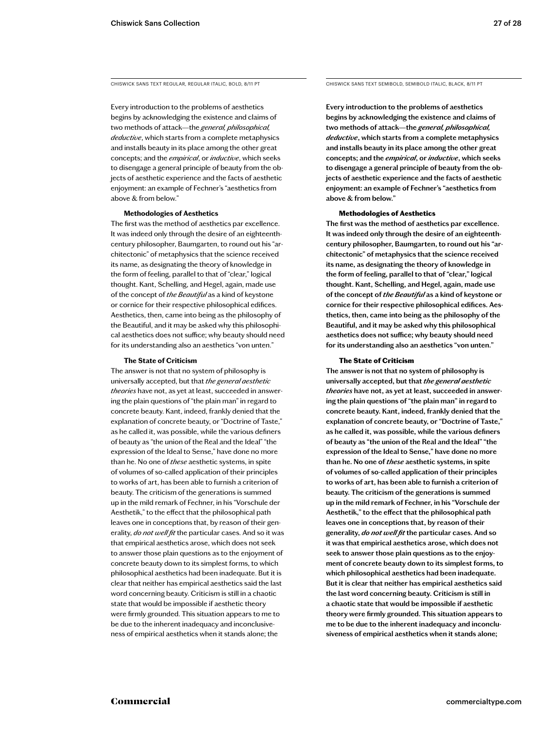Every introduction to the problems of aesthetics begins by acknowledging the existence and claims of two methods of attack—the *general, philosophical, deductive*, which starts from a complete metaphysics and installs beauty in its place among the other great concepts; and the *empirical*, or *inductive*, which seeks to disengage a general principle of beauty from the objects of aesthetic experience and the facts of aesthetic enjoyment: an example of Fechner's "aesthetics from above & from below."

### **Methodologies of Aesthetics**

The first was the method of aesthetics par excellence. It was indeed only through the desire of an eighteenthcentury philosopher, Baumgarten, to round out his "architectonic" of metaphysics that the science received its name, as designating the theory of knowledge in the form of feeling, parallel to that of "clear," logical thought. Kant, Schelling, and Hegel, again, made use of the concept of *the Beautiful* as a kind of keystone or cornice for their respective philosophical edifices. Aesthetics, then, came into being as the philosophy of the Beautiful, and it may be asked why this philosophical aesthetics does not suffice; why beauty should need for its understanding also an aesthetics "von unten."

### **The State of Criticism**

The answer is not that no system of philosophy is universally accepted, but that *the general aesthetic theories* have not, as yet at least, succeeded in answering the plain questions of "the plain man" in regard to concrete beauty. Kant, indeed, frankly denied that the explanation of concrete beauty, or "Doctrine of Taste," as he called it, was possible, while the various definers of beauty as "the union of the Real and the Ideal" "the expression of the Ideal to Sense," have done no more than he. No one of *these* aesthetic systems, in spite of volumes of so-called application of their principles to works of art, has been able to furnish a criterion of beauty. The criticism of the generations is summed up in the mild remark of Fechner, in his "Vorschule der Aesthetik," to the effect that the philosophical path leaves one in conceptions that, by reason of their generality, *do not well fit* the particular cases. And so it was that empirical aesthetics arose, which does not seek to answer those plain questions as to the enjoyment of concrete beauty down to its simplest forms, to which philosophical aesthetics had been inadequate. But it is clear that neither has empirical aesthetics said the last word concerning beauty. Criticism is still in a chaotic state that would be impossible if aesthetic theory were firmly grounded. This situation appears to me to be due to the inherent inadequacy and inconclusiveness of empirical aesthetics when it stands alone; the

CHISWICK SANS TEXT REGULAR, REGULAR ITALIC, BOLD, 8/11 PT CHISWICK SANS TEXT SEMIBOLD, SEMIBOLD ITALIC, BLACK, 8/11 PT

**Every introduction to the problems of aesthetics begins by acknowledging the existence and claims of two methods of attack—the** *general, philosophical, deductive***, which starts from a complete metaphysics and installs beauty in its place among the other great concepts; and the** *empirical***, or** *inductive***, which seeks to disengage a general principle of beauty from the objects of aesthetic experience and the facts of aesthetic enjoyment: an example of Fechner's "aesthetics from above & from below."** 

### Methodologies of Aesthetics

**The first was the method of aesthetics par excellence. It was indeed only through the desire of an eighteenthcentury philosopher, Baumgarten, to round out his "architectonic" of metaphysics that the science received its name, as designating the theory of knowledge in the form of feeling, parallel to that of "clear," logical thought. Kant, Schelling, and Hegel, again, made use of the concept of** *the Beautiful* **as a kind of keystone or cornice for their respective philosophical edifices. Aesthetics, then, came into being as the philosophy of the Beautiful, and it may be asked why this philosophical aesthetics does not suffice; why beauty should need for its understanding also an aesthetics "von unten."** 

### The State of Criticism

**The answer is not that no system of philosophy is universally accepted, but that** *the general aesthetic theories* **have not, as yet at least, succeeded in answering the plain questions of "the plain man" in regard to concrete beauty. Kant, indeed, frankly denied that the explanation of concrete beauty, or "Doctrine of Taste," as he called it, was possible, while the various definers of beauty as "the union of the Real and the Ideal" "the expression of the Ideal to Sense," have done no more than he. No one of** *these* **aesthetic systems, in spite of volumes of so-called application of their principles to works of art, has been able to furnish a criterion of beauty. The criticism of the generations is summed up in the mild remark of Fechner, in his "Vorschule der Aesthetik," to the effect that the philosophical path leaves one in conceptions that, by reason of their generality,** *do not well fit* **the particular cases. And so it was that empirical aesthetics arose, which does not seek to answer those plain questions as to the enjoyment of concrete beauty down to its simplest forms, to which philosophical aesthetics had been inadequate. But it is clear that neither has empirical aesthetics said the last word concerning beauty. Criticism is still in a chaotic state that would be impossible if aesthetic theory were firmly grounded. This situation appears to me to be due to the inherent inadequacy and inconclusiveness of empirical aesthetics when it stands alone;**